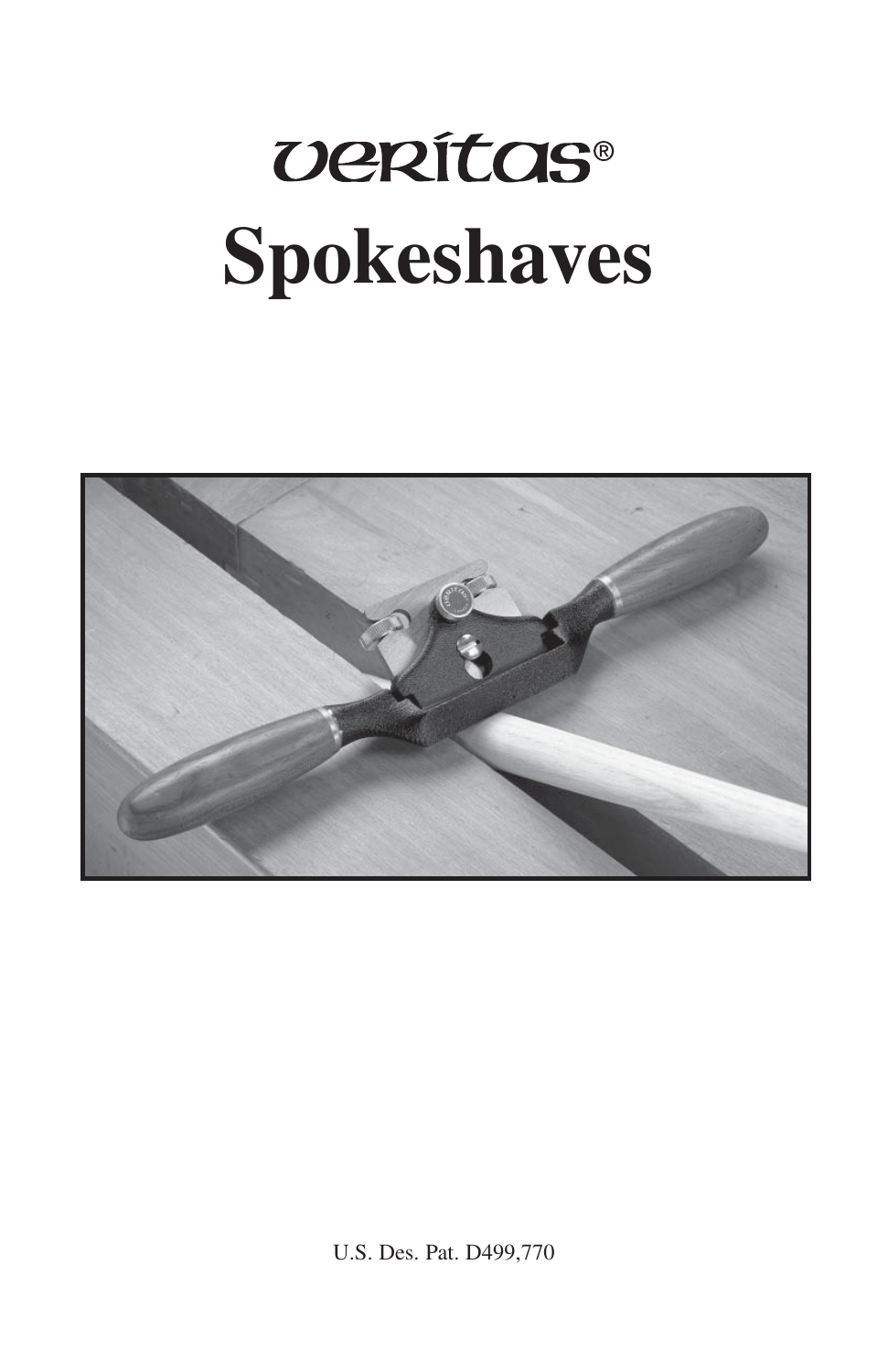# *UERÍTOS®* **Spokeshaves**



U.S. Des. Pat. D499,770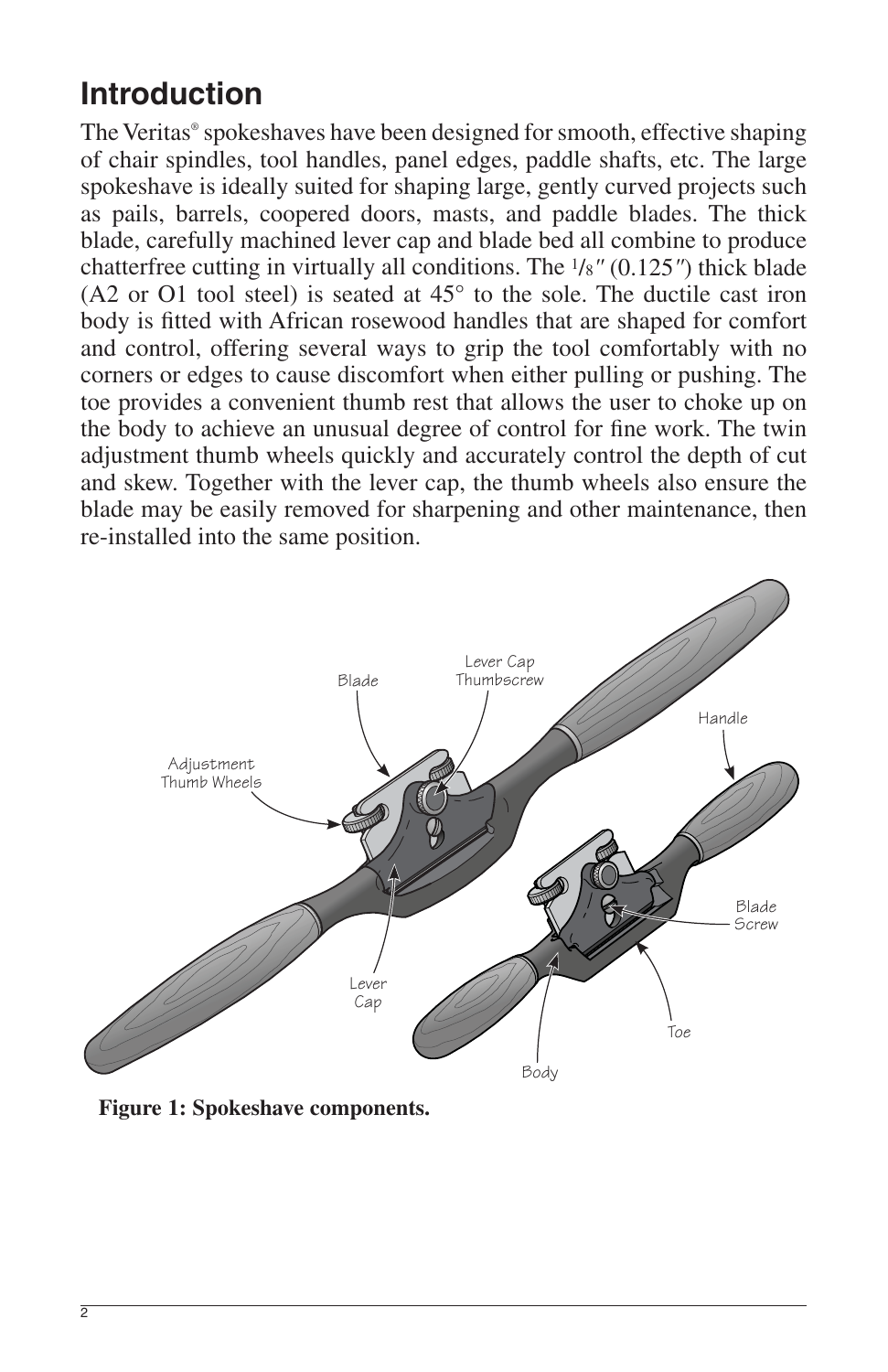# **Introduction**

The Veritas® spokeshaves have been designed for smooth, effective shaping of chair spindles, tool handles, panel edges, paddle shafts, etc. The large spokeshave is ideally suited for shaping large, gently curved projects such as pails, barrels, coopered doors, masts, and paddle blades. The thick blade, carefully machined lever cap and blade bed all combine to produce chatterfree cutting in virtually all conditions. The 1/8*"* (0.125*"*) thick blade (A2 or O1 tool steel) is seated at 45° to the sole. The ductile cast iron body is fitted with African rosewood handles that are shaped for comfort and control, offering several ways to grip the tool comfortably with no corners or edges to cause discomfort when either pulling or pushing. The toe provides a convenient thumb rest that allows the user to choke up on the body to achieve an unusual degree of control for fine work. The twin adjustment thumb wheels quickly and accurately control the depth of cut and skew. Together with the lever cap, the thumb wheels also ensure the blade may be easily removed for sharpening and other maintenance, then re-installed into the same position.



**Figure 1: Spokeshave components.**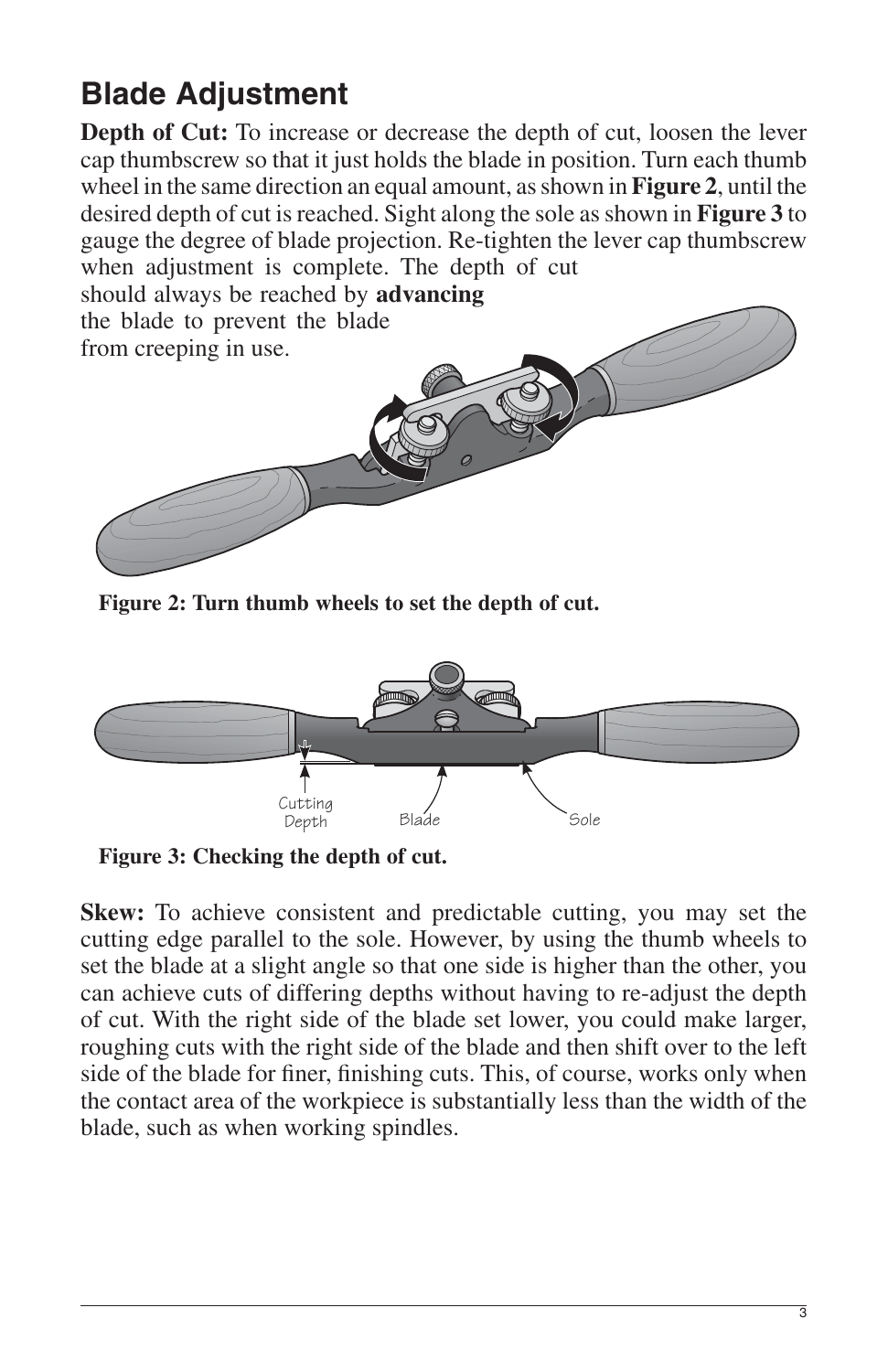# **Blade Adjustment**

**Depth of Cut:** To increase or decrease the depth of cut, loosen the lever cap thumbscrew so that it just holds the blade in position. Turn each thumb wheel in the same direction an equal amount, as shown in **Figure 2**, until the desired depth of cut is reached. Sight along the sole as shown in **Figure 3** to gauge the degree of blade projection. Re-tighten the lever cap thumbscrew when adjustment is complete. The depth of cut should always be reached by **advancing** the blade to prevent the blade

from creeping in use.





**Figure 3: Checking the depth of cut.**

**Skew:** To achieve consistent and predictable cutting, you may set the cutting edge parallel to the sole. However, by using the thumb wheels to set the blade at a slight angle so that one side is higher than the other, you can achieve cuts of differing depths without having to re-adjust the depth of cut. With the right side of the blade set lower, you could make larger, roughing cuts with the right side of the blade and then shift over to the left side of the blade for finer, finishing cuts. This, of course, works only when the contact area of the workpiece is substantially less than the width of the blade, such as when working spindles.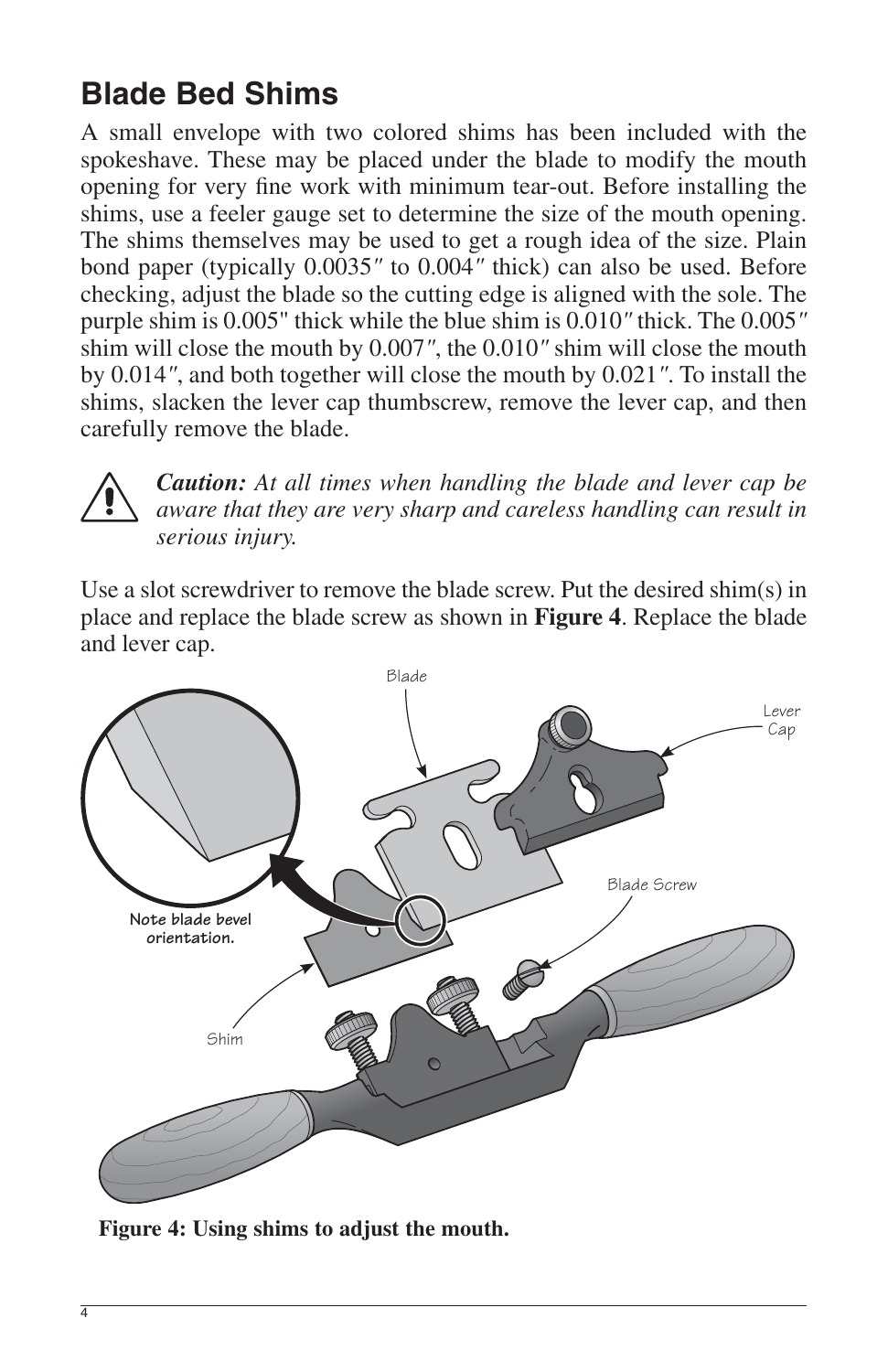# **Blade Bed Shims**

A small envelope with two colored shims has been included with the spokeshave. These may be placed under the blade to modify the mouth opening for very fine work with minimum tear-out. Before installing the shims, use a feeler gauge set to determine the size of the mouth opening. The shims themselves may be used to get a rough idea of the size. Plain bond paper (typically 0.0035*"* to 0.004*"* thick) can also be used. Before checking, adjust the blade so the cutting edge is aligned with the sole. The purple shim is 0.005" thick while the blue shim is 0.010*"* thick. The 0.005*"*  shim will close the mouth by 0.007*"*, the 0.010*"* shim will close the mouth by 0.014*"*, and both together will close the mouth by 0.021*"*. To install the shims, slacken the lever cap thumbscrew, remove the lever cap, and then carefully remove the blade.



*Caution: At all times when handling the blade and lever cap be aware that they are very sharp and careless handling can result in serious injury.*

Use a slot screwdriver to remove the blade screw. Put the desired shim(s) in place and replace the blade screw as shown in **Figure 4**. Replace the blade and lever cap.



**Figure 4: Using shims to adjust the mouth.**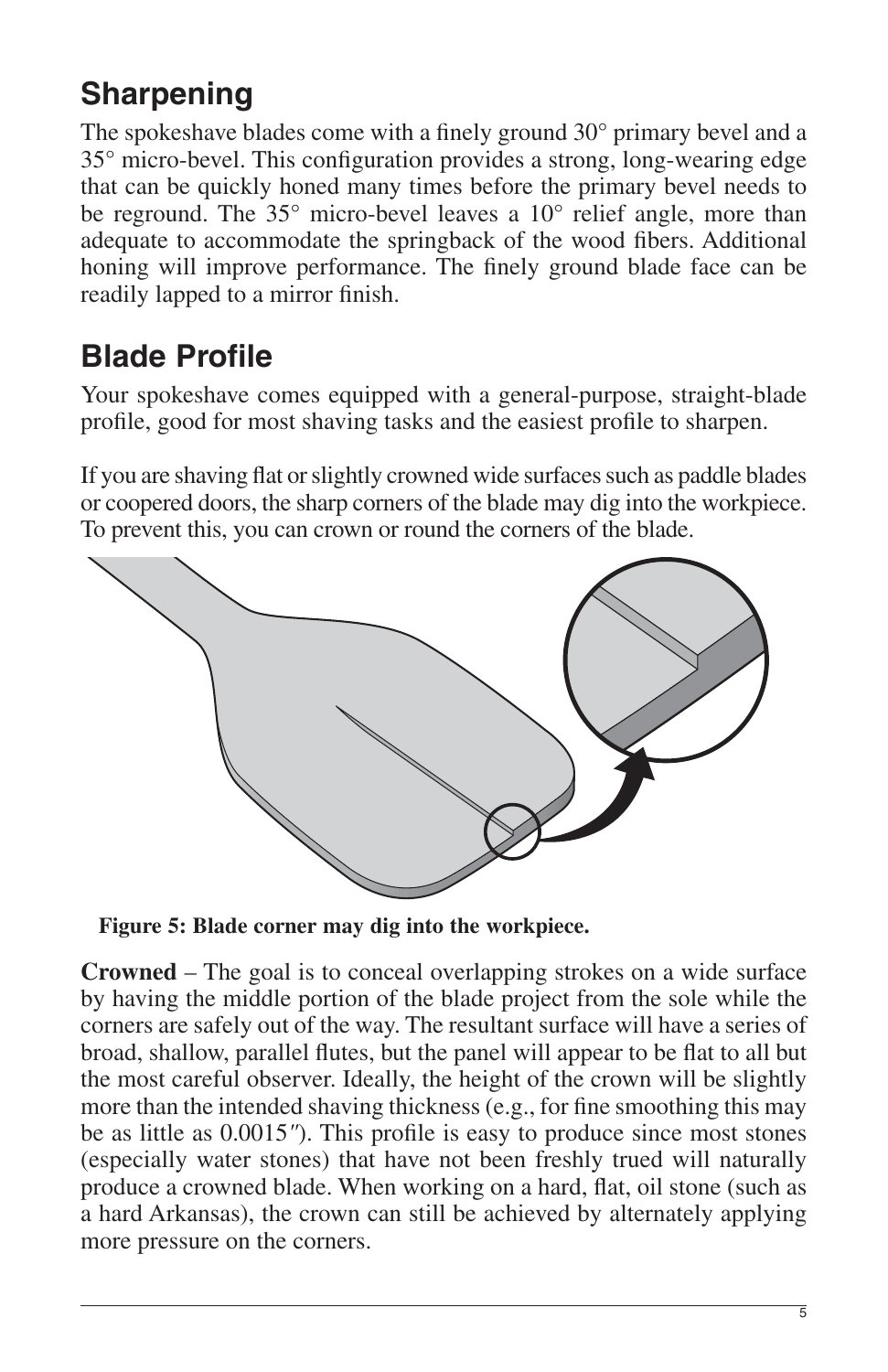# **Sharpening**

The spokeshave blades come with a finely ground  $30^{\circ}$  primary bevel and a 35° micro-bevel. This configuration provides a strong, long-wearing edge that can be quickly honed many times before the primary bevel needs to be reground. The 35° micro-bevel leaves a 10° relief angle, more than adequate to accommodate the springback of the wood fibers. Additional honing will improve performance. The finely ground blade face can be readily lapped to a mirror finish.

# **Blade Profile**

Your spokeshave comes equipped with a general-purpose, straight-blade profile, good for most shaving tasks and the easiest profile to sharpen.

If you are shaving flat or slightly crowned wide surfaces such as paddle blades or coopered doors, the sharp corners of the blade may dig into the workpiece. To prevent this, you can crown or round the corners of the blade.



**Figure 5: Blade corner may dig into the workpiece.**

**Crowned** – The goal is to conceal overlapping strokes on a wide surface by having the middle portion of the blade project from the sole while the corners are safely out of the way. The resultant surface will have a series of broad, shallow, parallel flutes, but the panel will appear to be flat to all but the most careful observer. Ideally, the height of the crown will be slightly more than the intended shaving thickness (e.g., for fine smoothing this may be as little as  $0.0015$ "). This profile is easy to produce since most stones (especially water stones) that have not been freshly trued will naturally produce a crowned blade. When working on a hard, flat, oil stone (such as a hard Arkansas), the crown can still be achieved by alternately applying more pressure on the corners.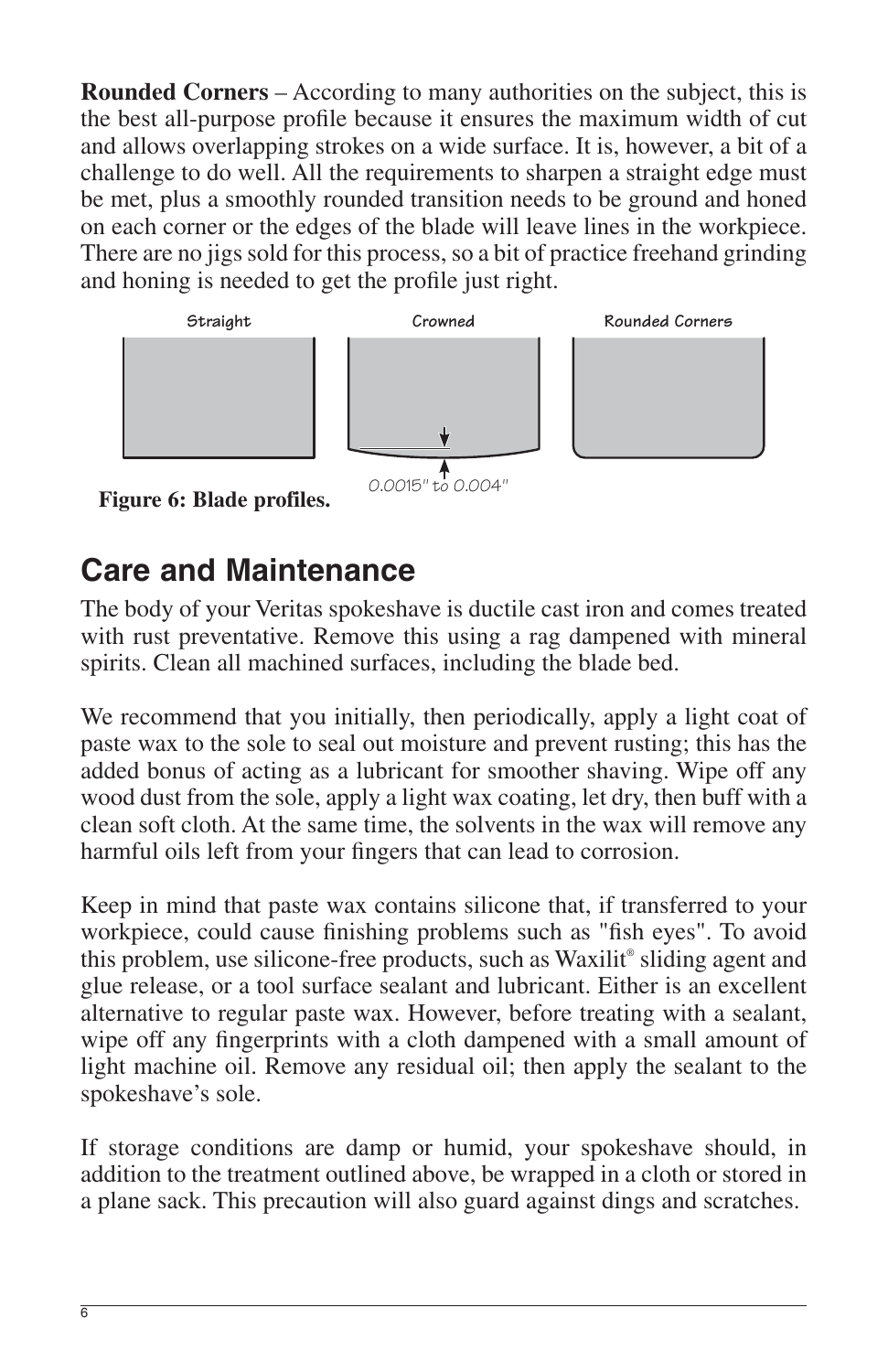**Rounded Corners** – According to many authorities on the subject, this is the best all-purpose profile because it ensures the maximum width of cut and allows overlapping strokes on a wide surface. It is, however, a bit of a challenge to do well. All the requirements to sharpen a straight edge must be met, plus a smoothly rounded transition needs to be ground and honed on each corner or the edges of the blade will leave lines in the workpiece. There are no jigs sold for this process, so a bit of practice freehand grinding and honing is needed to get the profile just right.



# **Care and Maintenance**

The body of your Veritas spokeshave is ductile cast iron and comes treated with rust preventative. Remove this using a rag dampened with mineral spirits. Clean all machined surfaces, including the blade bed.

We recommend that you initially, then periodically, apply a light coat of paste wax to the sole to seal out moisture and prevent rusting; this has the added bonus of acting as a lubricant for smoother shaving. Wipe off any wood dust from the sole, apply a light wax coating, let dry, then buff with a clean soft cloth. At the same time, the solvents in the wax will remove any harmful oils left from your fingers that can lead to corrosion.

Keep in mind that paste wax contains silicone that, if transferred to your workpiece, could cause finishing problems such as "fish eyes". To avoid this problem, use silicone-free products, such as Waxilit® sliding agent and glue release, or a tool surface sealant and lubricant. Either is an excellent alternative to regular paste wax. However, before treating with a sealant, wipe off any fingerprints with a cloth dampened with a small amount of light machine oil. Remove any residual oil; then apply the sealant to the spokeshave's sole.

If storage conditions are damp or humid, your spokeshave should, in addition to the treatment outlined above, be wrapped in a cloth or stored in a plane sack. This precaution will also guard against dings and scratches.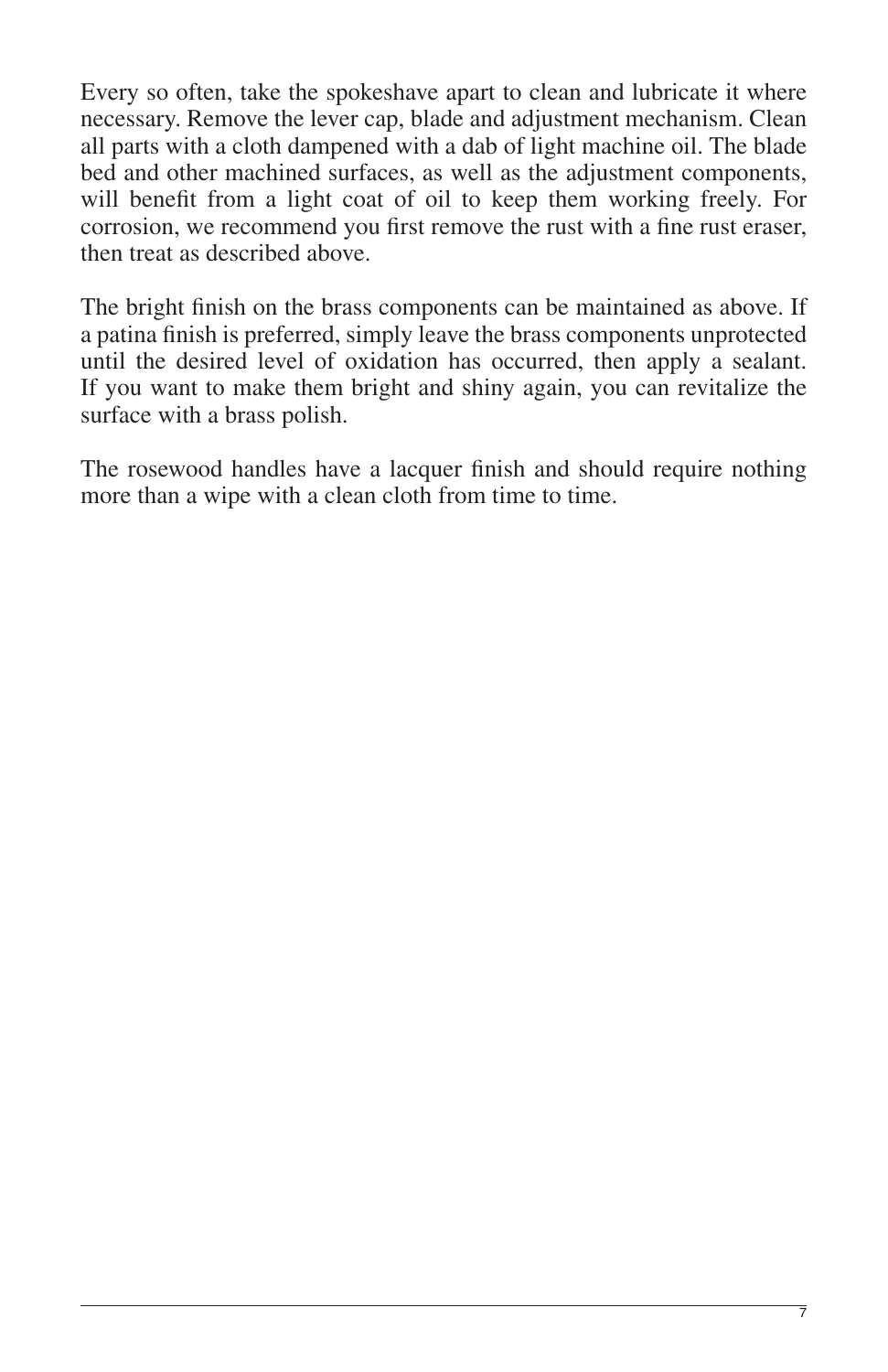Every so often, take the spokeshave apart to clean and lubricate it where necessary. Remove the lever cap, blade and adjustment mechanism. Clean all parts with a cloth dampened with a dab of light machine oil. The blade bed and other machined surfaces, as well as the adjustment components, will benefit from a light coat of oil to keep them working freely. For corrosion, we recommend you first remove the rust with a fine rust eraser, then treat as described above.

The bright finish on the brass components can be maintained as above. If a patina finish is preferred, simply leave the brass components unprotected until the desired level of oxidation has occurred, then apply a sealant. If you want to make them bright and shiny again, you can revitalize the surface with a brass polish.

The rosewood handles have a lacquer finish and should require nothing more than a wipe with a clean cloth from time to time.